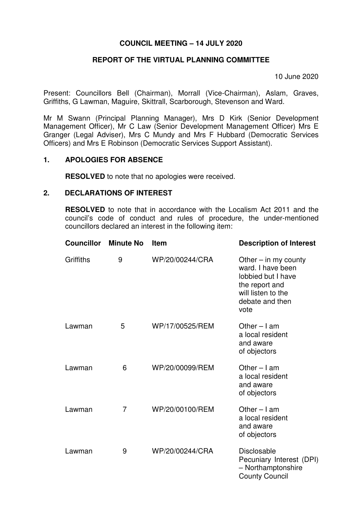## **COUNCIL MEETING – 14 JULY 2020**

# **REPORT OF THE VIRTUAL PLANNING COMMITTEE**

10 June 2020

Present: Councillors Bell (Chairman), Morrall (Vice-Chairman), Aslam, Graves, Griffiths, G Lawman, Maguire, Skittrall, Scarborough, Stevenson and Ward.

Mr M Swann (Principal Planning Manager), Mrs D Kirk (Senior Development Management Officer), Mr C Law (Senior Development Management Officer) Mrs E Granger (Legal Adviser), Mrs C Mundy and Mrs F Hubbard (Democratic Services Officers) and Mrs E Robinson (Democratic Services Support Assistant).

### **1. APOLOGIES FOR ABSENCE**

**RESOLVED** to note that no apologies were received.

#### **2. DECLARATIONS OF INTEREST**

**RESOLVED** to note that in accordance with the Localism Act 2011 and the council's code of conduct and rules of procedure, the under-mentioned councillors declared an interest in the following item:

| <b>Councillor</b> | <b>Minute No</b> | <b>Item</b>     | <b>Description of Interest</b>                                                                                                       |
|-------------------|------------------|-----------------|--------------------------------------------------------------------------------------------------------------------------------------|
| Griffiths         | 9                | WP/20/00244/CRA | Other $-$ in my county<br>ward. I have been<br>lobbied but I have<br>the report and<br>will listen to the<br>debate and then<br>vote |
| Lawman            | 5                | WP/17/00525/REM | Other $-$ I am<br>a local resident<br>and aware<br>of objectors                                                                      |
| Lawman            | 6                | WP/20/00099/REM | Other $-$ I am<br>a local resident<br>and aware<br>of objectors                                                                      |
| Lawman            | $\overline{7}$   | WP/20/00100/REM | Other $-$ I am<br>a local resident<br>and aware<br>of objectors                                                                      |
| Lawman            | 9                | WP/20/00244/CRA | <b>Disclosable</b><br>Pecuniary Interest (DPI)<br>- Northamptonshire<br><b>County Council</b>                                        |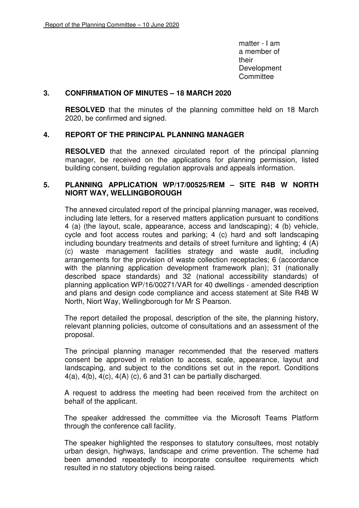matter - I am a member of their and the contract of the contract of the contract of the contract of the contract of the contract of the Development **Committee** 

### **3. CONFIRMATION OF MINUTES – 18 MARCH 2020**

**RESOLVED** that the minutes of the planning committee held on 18 March 2020, be confirmed and signed.

## **4. REPORT OF THE PRINCIPAL PLANNING MANAGER**

**RESOLVED** that the annexed circulated report of the principal planning manager, be received on the applications for planning permission, listed building consent, building regulation approvals and appeals information.

### **5. PLANNING APPLICATION WP/17/00525/REM – SITE R4B W NORTH NIORT WAY, WELLINGBOROUGH**

The annexed circulated report of the principal planning manager, was received, including late letters, for a reserved matters application pursuant to conditions 4 (a) (the layout, scale, appearance, access and landscaping); 4 (b) vehicle, cycle and foot access routes and parking; 4 (c) hard and soft landscaping including boundary treatments and details of street furniture and lighting; 4 (A) (c) waste management facilities strategy and waste audit, including arrangements for the provision of waste collection receptacles; 6 (accordance with the planning application development framework plan); 31 (nationally described space standards) and 32 (national accessibility standards) of planning application WP/16/00271/VAR for 40 dwellings - amended description and plans and design code compliance and access statement at Site R4B W North, Niort Way, Wellingborough for Mr S Pearson.

The report detailed the proposal, description of the site, the planning history, relevant planning policies, outcome of consultations and an assessment of the proposal.

The principal planning manager recommended that the reserved matters consent be approved in relation to access, scale, appearance, layout and landscaping, and subject to the conditions set out in the report. Conditions  $4(a)$ ,  $4(b)$ ,  $4(c)$ ,  $4(A)$  (c), 6 and 31 can be partially discharged.

A request to address the meeting had been received from the architect on behalf of the applicant.

The speaker addressed the committee via the Microsoft Teams Platform through the conference call facility.

The speaker highlighted the responses to statutory consultees, most notably urban design, highways, landscape and crime prevention. The scheme had been amended repeatedly to incorporate consultee requirements which resulted in no statutory objections being raised.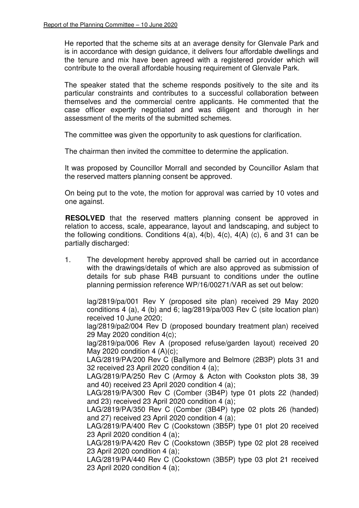He reported that the scheme sits at an average density for Glenvale Park and is in accordance with design guidance, it delivers four affordable dwellings and the tenure and mix have been agreed with a registered provider which will contribute to the overall affordable housing requirement of Glenvale Park.

The speaker stated that the scheme responds positively to the site and its particular constraints and contributes to a successful collaboration between themselves and the commercial centre applicants. He commented that the case officer expertly negotiated and was diligent and thorough in her assessment of the merits of the submitted schemes.

The committee was given the opportunity to ask questions for clarification.

The chairman then invited the committee to determine the application.

It was proposed by Councillor Morrall and seconded by Councillor Aslam that the reserved matters planning consent be approved.

 On being put to the vote, the motion for approval was carried by 10 votes and one against.

**RESOLVED** that the reserved matters planning consent be approved in relation to access, scale, appearance, layout and landscaping, and subject to the following conditions. Conditions  $4(a)$ ,  $4(b)$ ,  $4(c)$ ,  $4(A)$  (c), 6 and 31 can be partially discharged:

1. The development hereby approved shall be carried out in accordance with the drawings/details of which are also approved as submission of details for sub phase R4B pursuant to conditions under the outline planning permission reference WP/16/00271/VAR as set out below:

lag/2819/pa/001 Rev Y (proposed site plan) received 29 May 2020 conditions 4 (a), 4 (b) and 6; lag/2819/pa/003 Rev C (site location plan) received 10 June 2020;

lag/2819/pa2/004 Rev D (proposed boundary treatment plan) received 29 May 2020 condition 4(c);

lag/2819/pa/006 Rev A (proposed refuse/garden layout) received 20 May 2020 condition 4  $(A)(c)$ ;

LAG/2819/PA/200 Rev C (Ballymore and Belmore (2B3P) plots 31 and 32 received 23 April 2020 condition 4 (a);

LAG/2819/PA/250 Rev C (Armoy & Acton with Cookston plots 38, 39 and 40) received 23 April 2020 condition 4 (a);

LAG/2819/PA/300 Rev C (Comber (3B4P) type 01 plots 22 (handed) and 23) received 23 April 2020 condition 4 (a);

LAG/2819/PA/350 Rev C (Comber (3B4P) type 02 plots 26 (handed) and 27) received 23 April 2020 condition 4 (a);

LAG/2819/PA/400 Rev C (Cookstown (3B5P) type 01 plot 20 received 23 April 2020 condition 4 (a);

LAG/2819/PA/420 Rev C (Cookstown (3B5P) type 02 plot 28 received 23 April 2020 condition 4 (a);

LAG/2819/PA/440 Rev C (Cookstown (3B5P) type 03 plot 21 received 23 April 2020 condition 4 (a);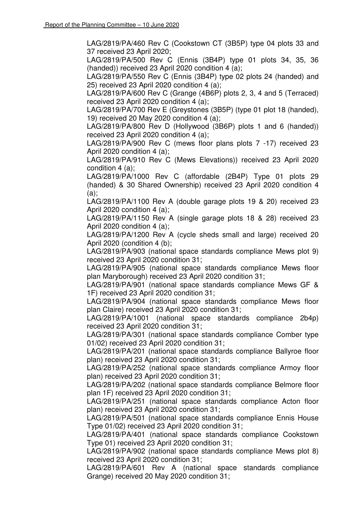LAG/2819/PA/460 Rev C (Cookstown CT (3B5P) type 04 plots 33 and 37 received 23 April 2020;

LAG/2819/PA/500 Rev C (Ennis (3B4P) type 01 plots 34, 35, 36 (handed)) received 23 April 2020 condition 4 (a);

LAG/2819/PA/550 Rev C (Ennis (3B4P) type 02 plots 24 (handed) and 25) received 23 April 2020 condition 4 (a);

LAG/2819/PA/600 Rev C (Grange (4B6P) plots 2, 3, 4 and 5 (Terraced) received 23 April 2020 condition 4 (a);

LAG/2819/PA/700 Rev E (Greystones (3B5P) (type 01 plot 18 (handed), 19) received 20 May 2020 condition 4 (a);

LAG/2819/PA/800 Rev D (Hollywood (3B6P) plots 1 and 6 (handed)) received 23 April 2020 condition 4 (a);

LAG/2819/PA/900 Rev C (mews floor plans plots 7 -17) received 23 April 2020 condition 4 (a);

LAG/2819/PA/910 Rev C (Mews Elevations)) received 23 April 2020 condition 4 (a);

LAG/2819/PA/1000 Rev C (affordable (2B4P) Type 01 plots 29 (handed) & 30 Shared Ownership) received 23 April 2020 condition 4  $(a)$ :

LAG/2819/PA/1100 Rev A (double garage plots 19 & 20) received 23 April 2020 condition 4 (a);

LAG/2819/PA/1150 Rev A (single garage plots 18 & 28) received 23 April 2020 condition 4 (a);

LAG/2819/PA/1200 Rev A (cycle sheds small and large) received 20 April 2020 (condition 4 (b);

LAG/2819/PA/903 (national space standards compliance Mews plot 9) received 23 April 2020 condition 31;

LAG/2819/PA/905 (national space standards compliance Mews floor plan Maryborough) received 23 April 2020 condition 31;

LAG/2819/PA/901 (national space standards compliance Mews GF & 1F) received 23 April 2020 condition 31;

LAG/2819/PA/904 (national space standards compliance Mews floor plan Claire) received 23 April 2020 condition 31;

LAG/2819/PA/1001 (national space standards compliance 2b4p) received 23 April 2020 condition 31;

LAG/2819/PA/301 (national space standards compliance Comber type 01/02) received 23 April 2020 condition 31;

LAG/2819/PA/201 (national space standards compliance Ballyroe floor plan) received 23 April 2020 condition 31;

LAG/2819/PA/252 (national space standards compliance Armoy floor plan) received 23 April 2020 condition 31;

LAG/2819/PA/202 (national space standards compliance Belmore floor plan 1F) received 23 April 2020 condition 31;

LAG/2819/PA/251 (national space standards compliance Acton floor plan) received 23 April 2020 condition 31;

LAG/2819/PA/501 (national space standards compliance Ennis House Type 01/02) received 23 April 2020 condition 31;

LAG/2819/PA/401 (national space standards compliance Cookstown Type 01) received 23 April 2020 condition 31;

LAG/2819/PA/902 (national space standards compliance Mews plot 8) received 23 April 2020 condition 31;

LAG/2819/PA/601 Rev A (national space standards compliance Grange) received 20 May 2020 condition 31;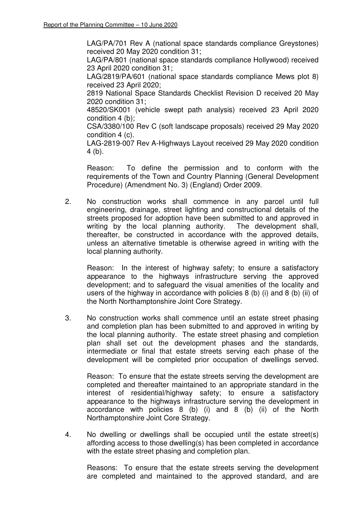LAG/PA/701 Rev A (national space standards compliance Greystones) received 20 May 2020 condition 31;

LAG/PA/801 (national space standards compliance Hollywood) received 23 April 2020 condition 31;

LAG/2819/PA/601 (national space standards compliance Mews plot 8) received 23 April 2020;

2819 National Space Standards Checklist Revision D received 20 May 2020 condition 31;

48520/SK001 (vehicle swept path analysis) received 23 April 2020 condition 4 (b);

CSA/3380/100 Rev C (soft landscape proposals) received 29 May 2020 condition 4 (c).

LAG-2819-007 Rev A-Highways Layout received 29 May 2020 condition 4 (b).

Reason: To define the permission and to conform with the requirements of the Town and Country Planning (General Development Procedure) (Amendment No. 3) (England) Order 2009.

2. No construction works shall commence in any parcel until full engineering, drainage, street lighting and constructional details of the streets proposed for adoption have been submitted to and approved in writing by the local planning authority. The development shall, thereafter, be constructed in accordance with the approved details, unless an alternative timetable is otherwise agreed in writing with the local planning authority.

Reason: In the interest of highway safety; to ensure a satisfactory appearance to the highways infrastructure serving the approved development; and to safeguard the visual amenities of the locality and users of the highway in accordance with policies  $8$  (b) (i) and  $8$  (b) (ii) of the North Northamptonshire Joint Core Strategy.

3. No construction works shall commence until an estate street phasing and completion plan has been submitted to and approved in writing by the local planning authority. The estate street phasing and completion plan shall set out the development phases and the standards, intermediate or final that estate streets serving each phase of the development will be completed prior occupation of dwellings served.

Reason: To ensure that the estate streets serving the development are completed and thereafter maintained to an appropriate standard in the interest of residential/highway safety; to ensure a satisfactory appearance to the highways infrastructure serving the development in accordance with policies 8 (b) (i) and 8 (b) (ii) of the North Northamptonshire Joint Core Strategy.

4. No dwelling or dwellings shall be occupied until the estate street(s) affording access to those dwelling(s) has been completed in accordance with the estate street phasing and completion plan.

Reasons: To ensure that the estate streets serving the development are completed and maintained to the approved standard, and are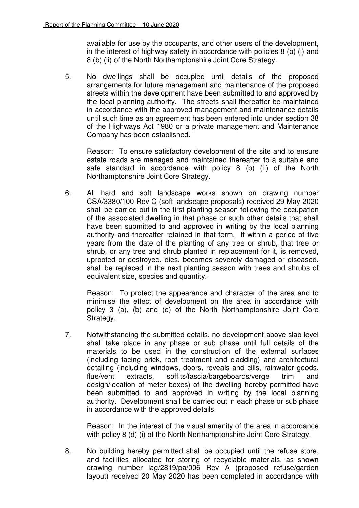available for use by the occupants, and other users of the development, in the interest of highway safety in accordance with policies 8 (b) (i) and 8 (b) (ii) of the North Northamptonshire Joint Core Strategy.

5. No dwellings shall be occupied until details of the proposed arrangements for future management and maintenance of the proposed streets within the development have been submitted to and approved by the local planning authority. The streets shall thereafter be maintained in accordance with the approved management and maintenance details until such time as an agreement has been entered into under section 38 of the Highways Act 1980 or a private management and Maintenance Company has been established.

Reason: To ensure satisfactory development of the site and to ensure estate roads are managed and maintained thereafter to a suitable and safe standard in accordance with policy 8 (b) (ii) of the North Northamptonshire Joint Core Strategy.

6. All hard and soft landscape works shown on drawing number CSA/3380/100 Rev C (soft landscape proposals) received 29 May 2020 shall be carried out in the first planting season following the occupation of the associated dwelling in that phase or such other details that shall have been submitted to and approved in writing by the local planning authority and thereafter retained in that form. If within a period of five years from the date of the planting of any tree or shrub, that tree or shrub, or any tree and shrub planted in replacement for it, is removed, uprooted or destroyed, dies, becomes severely damaged or diseased, shall be replaced in the next planting season with trees and shrubs of equivalent size, species and quantity.

Reason: To protect the appearance and character of the area and to minimise the effect of development on the area in accordance with policy 3 (a), (b) and (e) of the North Northamptonshire Joint Core Strategy.

7. Notwithstanding the submitted details, no development above slab level shall take place in any phase or sub phase until full details of the materials to be used in the construction of the external surfaces (including facing brick, roof treatment and cladding) and architectural detailing (including windows, doors, reveals and cills, rainwater goods, flue/vent extracts, soffits/fascia/bargeboards/verge trim and design/location of meter boxes) of the dwelling hereby permitted have been submitted to and approved in writing by the local planning authority. Development shall be carried out in each phase or sub phase in accordance with the approved details.

Reason: In the interest of the visual amenity of the area in accordance with policy 8 (d) (i) of the North Northamptonshire Joint Core Strategy.

8. No building hereby permitted shall be occupied until the refuse store, and facilities allocated for storing of recyclable materials, as shown drawing number lag/2819/pa/006 Rev A (proposed refuse/garden layout) received 20 May 2020 has been completed in accordance with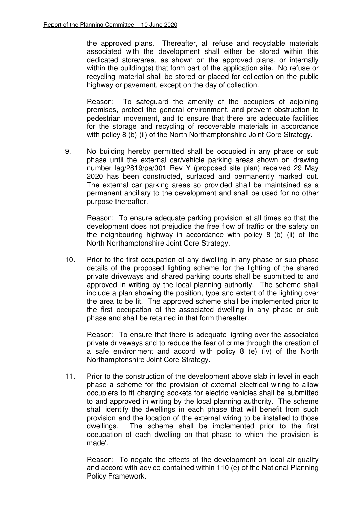the approved plans. Thereafter, all refuse and recyclable materials associated with the development shall either be stored within this dedicated store/area, as shown on the approved plans, or internally within the building(s) that form part of the application site. No refuse or recycling material shall be stored or placed for collection on the public highway or pavement, except on the day of collection.

Reason: To safeguard the amenity of the occupiers of adjoining premises, protect the general environment, and prevent obstruction to pedestrian movement, and to ensure that there are adequate facilities for the storage and recycling of recoverable materials in accordance with policy 8 (b) (ii) of the North Northamptonshire Joint Core Strategy.

9. No building hereby permitted shall be occupied in any phase or sub phase until the external car/vehicle parking areas shown on drawing number lag/2819/pa/001 Rev Y (proposed site plan) received 29 May 2020 has been constructed, surfaced and permanently marked out. The external car parking areas so provided shall be maintained as a permanent ancillary to the development and shall be used for no other purpose thereafter.

Reason: To ensure adequate parking provision at all times so that the development does not prejudice the free flow of traffic or the safety on the neighbouring highway in accordance with policy 8 (b) (ii) of the North Northamptonshire Joint Core Strategy.

10. Prior to the first occupation of any dwelling in any phase or sub phase details of the proposed lighting scheme for the lighting of the shared private driveways and shared parking courts shall be submitted to and approved in writing by the local planning authority. The scheme shall include a plan showing the position, type and extent of the lighting over the area to be lit. The approved scheme shall be implemented prior to the first occupation of the associated dwelling in any phase or sub phase and shall be retained in that form thereafter.

Reason: To ensure that there is adequate lighting over the associated private driveways and to reduce the fear of crime through the creation of a safe environment and accord with policy 8 (e) (iv) of the North Northamptonshire Joint Core Strategy.

11. Prior to the construction of the development above slab in level in each phase a scheme for the provision of external electrical wiring to allow occupiers to fit charging sockets for electric vehicles shall be submitted to and approved in writing by the local planning authority. The scheme shall identify the dwellings in each phase that will benefit from such provision and the location of the external wiring to be installed to those dwellings. The scheme shall be implemented prior to the first occupation of each dwelling on that phase to which the provision is made'.

Reason: To negate the effects of the development on local air quality and accord with advice contained within 110 (e) of the National Planning Policy Framework.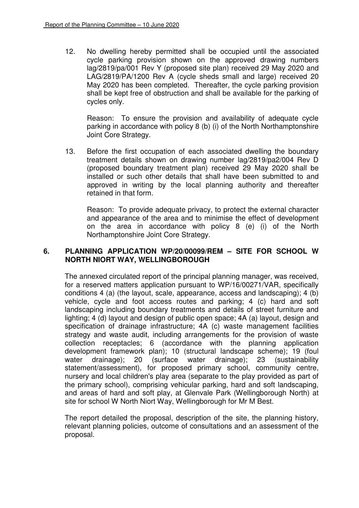12. No dwelling hereby permitted shall be occupied until the associated cycle parking provision shown on the approved drawing numbers lag/2819/pa/001 Rev Y (proposed site plan) received 29 May 2020 and LAG/2819/PA/1200 Rev A (cycle sheds small and large) received 20 May 2020 has been completed. Thereafter, the cycle parking provision shall be kept free of obstruction and shall be available for the parking of cycles only.

Reason: To ensure the provision and availability of adequate cycle parking in accordance with policy 8 (b) (i) of the North Northamptonshire Joint Core Strategy.

13. Before the first occupation of each associated dwelling the boundary treatment details shown on drawing number lag/2819/pa2/004 Rev D (proposed boundary treatment plan) received 29 May 2020 shall be installed or such other details that shall have been submitted to and approved in writing by the local planning authority and thereafter retained in that form.

Reason: To provide adequate privacy, to protect the external character and appearance of the area and to minimise the effect of development on the area in accordance with policy 8 (e) (i) of the North Northamptonshire Joint Core Strategy.

## **6. PLANNING APPLICATION WP/20/00099/REM – SITE FOR SCHOOL W NORTH NIORT WAY, WELLINGBOROUGH**

The annexed circulated report of the principal planning manager, was received, for a reserved matters application pursuant to WP/16/00271/VAR, specifically conditions 4 (a) (the layout, scale, appearance, access and landscaping); 4 (b) vehicle, cycle and foot access routes and parking; 4 (c) hard and soft landscaping including boundary treatments and details of street furniture and lighting; 4 (d) layout and design of public open space; 4A (a) layout, design and specification of drainage infrastructure; 4A (c) waste management facilities strategy and waste audit, including arrangements for the provision of waste collection receptacles; 6 (accordance with the planning application development framework plan); 10 (structural landscape scheme); 19 (foul water drainage); 20 (surface water drainage); 23 (sustainability statement/assessment), for proposed primary school, community centre, nursery and local children's play area (separate to the play provided as part of the primary school), comprising vehicular parking, hard and soft landscaping, and areas of hard and soft play, at Glenvale Park (Wellingborough North) at site for school W North Niort Way, Wellingborough for Mr M Best.

The report detailed the proposal, description of the site, the planning history, relevant planning policies, outcome of consultations and an assessment of the proposal.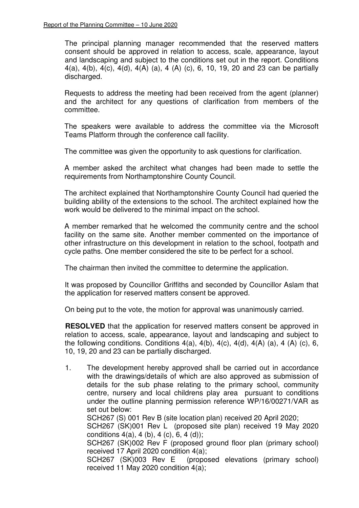The principal planning manager recommended that the reserved matters consent should be approved in relation to access, scale, appearance, layout and landscaping and subject to the conditions set out in the report. Conditions 4(a), 4(b), 4(c), 4(d), 4(A) (a), 4 (A) (c), 6, 10, 19, 20 and 23 can be partially discharged.

Requests to address the meeting had been received from the agent (planner) and the architect for any questions of clarification from members of the committee.

The speakers were available to address the committee via the Microsoft Teams Platform through the conference call facility.

The committee was given the opportunity to ask questions for clarification.

A member asked the architect what changes had been made to settle the requirements from Northamptonshire County Council.

The architect explained that Northamptonshire County Council had queried the building ability of the extensions to the school. The architect explained how the work would be delivered to the minimal impact on the school.

A member remarked that he welcomed the community centre and the school facility on the same site. Another member commented on the importance of other infrastructure on this development in relation to the school, footpath and cycle paths. One member considered the site to be perfect for a school.

The chairman then invited the committee to determine the application.

It was proposed by Councillor Griffiths and seconded by Councillor Aslam that the application for reserved matters consent be approved.

On being put to the vote, the motion for approval was unanimously carried.

**RESOLVED** that the application for reserved matters consent be approved in relation to access, scale, appearance, layout and landscaping and subject to the following conditions. Conditions  $4(a)$ ,  $4(b)$ ,  $4(c)$ ,  $4(d)$ ,  $4(A)$   $(a)$ ,  $4(A)$   $(c)$ ,  $6$ , 10, 19, 20 and 23 can be partially discharged.

1. The development hereby approved shall be carried out in accordance with the drawings/details of which are also approved as submission of details for the sub phase relating to the primary school, community centre, nursery and local childrens play area pursuant to conditions under the outline planning permission reference WP/16/00271/VAR as set out below: SCH267 (S) 001 Rev B (site location plan) received 20 April 2020;

 SCH267 (SK)001 Rev L (proposed site plan) received 19 May 2020 conditions  $4(a)$ ,  $4(b)$ ,  $4(c)$ ,  $6, 4(d)$ ;

SCH267 (SK)002 Rev F (proposed ground floor plan (primary school) received 17 April 2020 condition 4(a);

SCH267 (SK)003 Rev E (proposed elevations (primary school) received 11 May 2020 condition 4(a);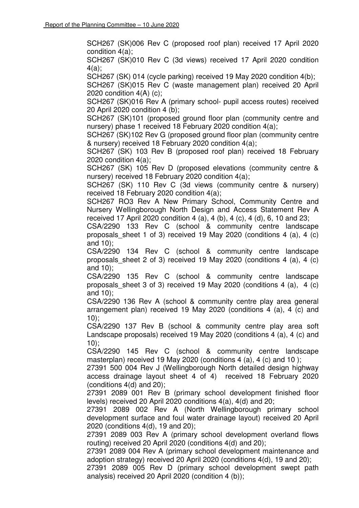SCH267 (SK)006 Rev C (proposed roof plan) received 17 April 2020 condition 4(a);

SCH267 (SK)010 Rev C (3d views) received 17 April 2020 condition 4(a);

SCH267 (SK) 014 (cycle parking) received 19 May 2020 condition 4(b);

SCH267 (SK)015 Rev C (waste management plan) received 20 April 2020 condition 4(A) (c);

SCH267 (SK)016 Rev A (primary school- pupil access routes) received 20 April 2020 condition 4 (b);

SCH267 (SK)101 (proposed ground floor plan (community centre and nursery) phase 1 received 18 February 2020 condition 4(a);

SCH267 (SK)102 Rev G (proposed ground floor plan (community centre & nursery) received 18 February 2020 condition 4(a);

SCH267 (SK) 103 Rev B (proposed roof plan) received 18 February 2020 condition 4(a);

SCH267 (SK) 105 Rev D (proposed elevations (community centre & nursery) received 18 February 2020 condition 4(a);

SCH267 (SK) 110 Rev C (3d views (community centre & nursery) received 18 February 2020 condition 4(a);

SCH267 RO3 Rev A New Primary School, Community Centre and Nursery Wellingborough North Design and Access Statement Rev A received 17 April 2020 condition 4 (a), 4 (b), 4 (c), 4 (d), 6, 10 and 23;

CSA/2290 133 Rev C (school & community centre landscape proposals sheet 1 of 3) received 19 May 2020 (conditions 4 (a), 4 (c) and 10);

CSA/2290 134 Rev C (school & community centre landscape proposals sheet 2 of 3) received 19 May 2020 (conditions 4 (a), 4 (c) and 10);

CSA/2290 135 Rev C (school & community centre landscape proposals sheet 3 of 3) received 19 May 2020 (conditions 4 (a), 4 (c) and 10);

CSA/2290 136 Rev A (school & community centre play area general arrangement plan) received 19 May 2020 (conditions 4 (a), 4 (c) and 10);

CSA/2290 137 Rev B (school & community centre play area soft Landscape proposals) received 19 May 2020 (conditions 4 (a), 4 (c) and 10);

CSA/2290 145 Rev C (school & community centre landscape masterplan) received 19 May 2020 (conditions 4 (a), 4 (c) and 10);

27391 500 004 Rev J (Wellingborough North detailed design highway access drainage layout sheet 4 of 4) received 18 February 2020 (conditions 4(d) and 20);

27391 2089 001 Rev B (primary school development finished floor levels) received 20 April 2020 conditions 4(a), 4(d) and 20;

27391 2089 002 Rev A (North Wellingborough primary school development surface and foul water drainage layout) received 20 April 2020 (conditions 4(d), 19 and 20);

27391 2089 003 Rev A (primary school development overland flows routing) received 20 April 2020 (conditions 4(d) and 20);

27391 2089 004 Rev A (primary school development maintenance and adoption strategy) received 20 April 2020 (conditions 4(d), 19 and 20);

27391 2089 005 Rev D (primary school development swept path analysis) received 20 April 2020 (condition 4 (b));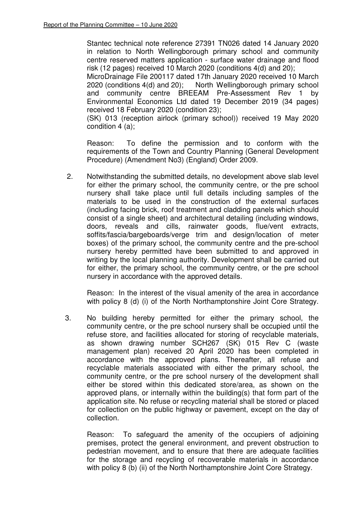Stantec technical note reference 27391 TN026 dated 14 January 2020 in relation to North Wellingborough primary school and community centre reserved matters application - surface water drainage and flood risk (12 pages) received 10 March 2020 (conditions 4(d) and 20);

MicroDrainage File 200117 dated 17th January 2020 received 10 March 2020 (conditions 4(d) and 20); North Wellingborough primary school North Wellingborough primary school and community centre BREEAM Pre-Assessment Rev 1 by Environmental Economics Ltd dated 19 December 2019 (34 pages) received 18 February 2020 (condition 23);

(SK) 013 (reception airlock (primary school)) received 19 May 2020 condition 4 (a);

Reason: To define the permission and to conform with the requirements of the Town and Country Planning (General Development Procedure) (Amendment No3) (England) Order 2009.

2. Notwithstanding the submitted details, no development above slab level for either the primary school, the community centre, or the pre school nursery shall take place until full details including samples of the materials to be used in the construction of the external surfaces (including facing brick, roof treatment and cladding panels which should consist of a single sheet) and architectural detailing (including windows, doors, reveals and cills, rainwater goods, flue/vent extracts, soffits/fascia/bargeboards/verge trim and design/location of meter boxes) of the primary school, the community centre and the pre-school nursery hereby permitted have been submitted to and approved in writing by the local planning authority. Development shall be carried out for either, the primary school, the community centre, or the pre school nursery in accordance with the approved details.

Reason: In the interest of the visual amenity of the area in accordance with policy 8 (d) (i) of the North Northamptonshire Joint Core Strategy.

3. No building hereby permitted for either the primary school, the community centre, or the pre school nursery shall be occupied until the refuse store, and facilities allocated for storing of recyclable materials, as shown drawing number SCH267 (SK) 015 Rev C (waste management plan) received 20 April 2020 has been completed in accordance with the approved plans. Thereafter, all refuse and recyclable materials associated with either the primary school, the community centre, or the pre school nursery of the development shall either be stored within this dedicated store/area, as shown on the approved plans, or internally within the building(s) that form part of the application site. No refuse or recycling material shall be stored or placed for collection on the public highway or pavement, except on the day of collection.

Reason: To safeguard the amenity of the occupiers of adjoining premises, protect the general environment, and prevent obstruction to pedestrian movement, and to ensure that there are adequate facilities for the storage and recycling of recoverable materials in accordance with policy 8 (b) (ii) of the North Northamptonshire Joint Core Strategy.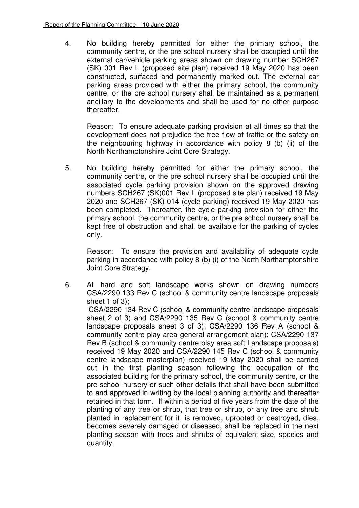4. No building hereby permitted for either the primary school, the community centre, or the pre school nursery shall be occupied until the external car/vehicle parking areas shown on drawing number SCH267 (SK) 001 Rev L (proposed site plan) received 19 May 2020 has been constructed, surfaced and permanently marked out. The external car parking areas provided with either the primary school, the community centre, or the pre school nursery shall be maintained as a permanent ancillary to the developments and shall be used for no other purpose thereafter.

Reason: To ensure adequate parking provision at all times so that the development does not prejudice the free flow of traffic or the safety on the neighbouring highway in accordance with policy 8 (b) (ii) of the North Northamptonshire Joint Core Strategy.

5. No building hereby permitted for either the primary school, the community centre, or the pre school nursery shall be occupied until the associated cycle parking provision shown on the approved drawing numbers SCH267 (SK)001 Rev L (proposed site plan) received 19 May 2020 and SCH267 (SK) 014 (cycle parking) received 19 May 2020 has been completed. Thereafter, the cycle parking provision for either the primary school, the community centre, or the pre school nursery shall be kept free of obstruction and shall be available for the parking of cycles only.

Reason: To ensure the provision and availability of adequate cycle parking in accordance with policy 8 (b) (i) of the North Northamptonshire Joint Core Strategy.

6. All hard and soft landscape works shown on drawing numbers CSA/2290 133 Rev C (school & community centre landscape proposals sheet 1 of 3);

CSA/2290 134 Rev C (school & community centre landscape proposals sheet 2 of 3) and CSA/2290 135 Rev C (school & community centre landscape proposals sheet 3 of 3); CSA/2290 136 Rev A (school & community centre play area general arrangement plan); CSA/2290 137 Rev B (school & community centre play area soft Landscape proposals) received 19 May 2020 and CSA/2290 145 Rev C (school & community centre landscape masterplan) received 19 May 2020 shall be carried out in the first planting season following the occupation of the associated building for the primary school, the community centre, or the pre-school nursery or such other details that shall have been submitted to and approved in writing by the local planning authority and thereafter retained in that form. If within a period of five years from the date of the planting of any tree or shrub, that tree or shrub, or any tree and shrub planted in replacement for it, is removed, uprooted or destroyed, dies, becomes severely damaged or diseased, shall be replaced in the next planting season with trees and shrubs of equivalent size, species and quantity.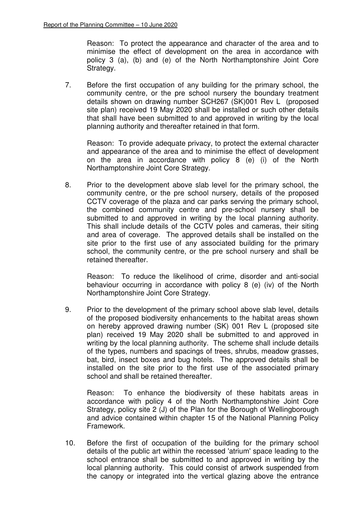Reason: To protect the appearance and character of the area and to minimise the effect of development on the area in accordance with policy 3 (a), (b) and (e) of the North Northamptonshire Joint Core Strategy.

7. Before the first occupation of any building for the primary school, the community centre, or the pre school nursery the boundary treatment details shown on drawing number SCH267 (SK)001 Rev L (proposed site plan) received 19 May 2020 shall be installed or such other details that shall have been submitted to and approved in writing by the local planning authority and thereafter retained in that form.

Reason: To provide adequate privacy, to protect the external character and appearance of the area and to minimise the effect of development on the area in accordance with policy 8 (e) (i) of the North Northamptonshire Joint Core Strategy.

8. Prior to the development above slab level for the primary school, the community centre, or the pre school nursery, details of the proposed CCTV coverage of the plaza and car parks serving the primary school, the combined community centre and pre-school nursery shall be submitted to and approved in writing by the local planning authority. This shall include details of the CCTV poles and cameras, their siting and area of coverage. The approved details shall be installed on the site prior to the first use of any associated building for the primary school, the community centre, or the pre school nursery and shall be retained thereafter.

Reason: To reduce the likelihood of crime, disorder and anti-social behaviour occurring in accordance with policy 8 (e) (iv) of the North Northamptonshire Joint Core Strategy.

9. Prior to the development of the primary school above slab level, details of the proposed biodiversity enhancements to the habitat areas shown on hereby approved drawing number (SK) 001 Rev L (proposed site plan) received 19 May 2020 shall be submitted to and approved in writing by the local planning authority. The scheme shall include details of the types, numbers and spacings of trees, shrubs, meadow grasses, bat, bird, insect boxes and bug hotels. The approved details shall be installed on the site prior to the first use of the associated primary school and shall be retained thereafter.

Reason: To enhance the biodiversity of these habitats areas in accordance with policy 4 of the North Northamptonshire Joint Core Strategy, policy site 2 (J) of the Plan for the Borough of Wellingborough and advice contained within chapter 15 of the National Planning Policy Framework.

10. Before the first of occupation of the building for the primary school details of the public art within the recessed 'atrium' space leading to the school entrance shall be submitted to and approved in writing by the local planning authority. This could consist of artwork suspended from the canopy or integrated into the vertical glazing above the entrance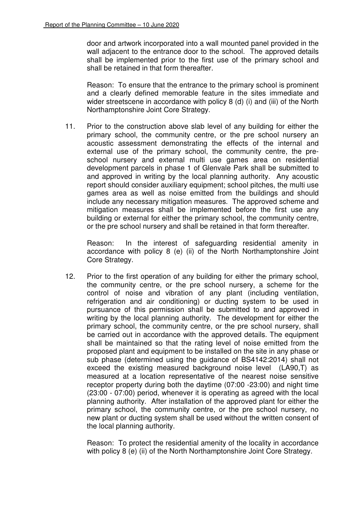door and artwork incorporated into a wall mounted panel provided in the wall adjacent to the entrance door to the school. The approved details shall be implemented prior to the first use of the primary school and shall be retained in that form thereafter.

Reason: To ensure that the entrance to the primary school is prominent and a clearly defined memorable feature in the sites immediate and wider streetscene in accordance with policy 8 (d) (i) and (iii) of the North Northamptonshire Joint Core Strategy.

11. Prior to the construction above slab level of any building for either the primary school, the community centre, or the pre school nursery an acoustic assessment demonstrating the effects of the internal and external use of the primary school, the community centre, the preschool nursery and external multi use games area on residential development parcels in phase 1 of Glenvale Park shall be submitted to and approved in writing by the local planning authority. Any acoustic report should consider auxiliary equipment; school pitches, the multi use games area as well as noise emitted from the buildings and should include any necessary mitigation measures. The approved scheme and mitigation measures shall be implemented before the first use any building or external for either the primary school, the community centre, or the pre school nursery and shall be retained in that form thereafter.

Reason: In the interest of safeguarding residential amenity in accordance with policy 8 (e) (ii) of the North Northamptonshire Joint Core Strategy.

12. Prior to the first operation of any building for either the primary school, the community centre, or the pre school nursery, a scheme for the control of noise and vibration of any plant (including ventilation, refrigeration and air conditioning) or ducting system to be used in pursuance of this permission shall be submitted to and approved in writing by the local planning authority. The development for either the primary school, the community centre, or the pre school nursery, shall be carried out in accordance with the approved details. The equipment shall be maintained so that the rating level of noise emitted from the proposed plant and equipment to be installed on the site in any phase or sub phase (determined using the guidance of BS4142:2014) shall not exceed the existing measured background noise level (LA90,T) as measured at a location representative of the nearest noise sensitive receptor property during both the daytime (07:00 -23:00) and night time (23:00 - 07:00) period, whenever it is operating as agreed with the local planning authority. After installation of the approved plant for either the primary school, the community centre, or the pre school nursery, no new plant or ducting system shall be used without the written consent of the local planning authority.

Reason: To protect the residential amenity of the locality in accordance with policy 8 (e) (ii) of the North Northamptonshire Joint Core Strategy.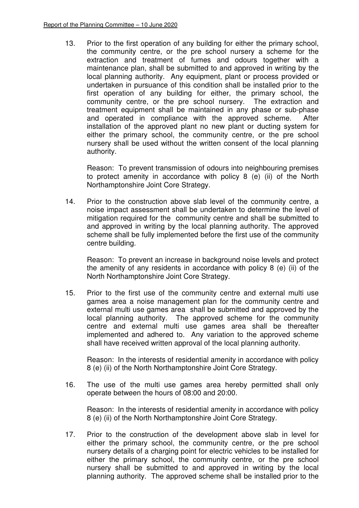13. Prior to the first operation of any building for either the primary school, the community centre, or the pre school nursery a scheme for the extraction and treatment of fumes and odours together with a maintenance plan, shall be submitted to and approved in writing by the local planning authority. Any equipment, plant or process provided or undertaken in pursuance of this condition shall be installed prior to the first operation of any building for either, the primary school, the community centre, or the pre school nursery. The extraction and treatment equipment shall be maintained in any phase or sub-phase and operated in compliance with the approved scheme. After installation of the approved plant no new plant or ducting system for either the primary school, the community centre, or the pre school nursery shall be used without the written consent of the local planning authority.

Reason: To prevent transmission of odours into neighbouring premises to protect amenity in accordance with policy 8 (e) (ii) of the North Northamptonshire Joint Core Strategy.

14. Prior to the construction above slab level of the community centre, a noise impact assessment shall be undertaken to determine the level of mitigation required for the community centre and shall be submitted to and approved in writing by the local planning authority. The approved scheme shall be fully implemented before the first use of the community centre building.

Reason: To prevent an increase in background noise levels and protect the amenity of any residents in accordance with policy 8 (e) (ii) of the North Northamptonshire Joint Core Strategy.

15. Prior to the first use of the community centre and external multi use games area a noise management plan for the community centre and external multi use games area shall be submitted and approved by the local planning authority. The approved scheme for the community centre and external multi use games area shall be thereafter implemented and adhered to. Any variation to the approved scheme shall have received written approval of the local planning authority.

Reason: In the interests of residential amenity in accordance with policy 8 (e) (ii) of the North Northamptonshire Joint Core Strategy.

16. The use of the multi use games area hereby permitted shall only operate between the hours of 08:00 and 20:00.

Reason: In the interests of residential amenity in accordance with policy 8 (e) (ii) of the North Northamptonshire Joint Core Strategy.

17. Prior to the construction of the development above slab in level for either the primary school, the community centre, or the pre school nursery details of a charging point for electric vehicles to be installed for either the primary school, the community centre, or the pre school nursery shall be submitted to and approved in writing by the local planning authority. The approved scheme shall be installed prior to the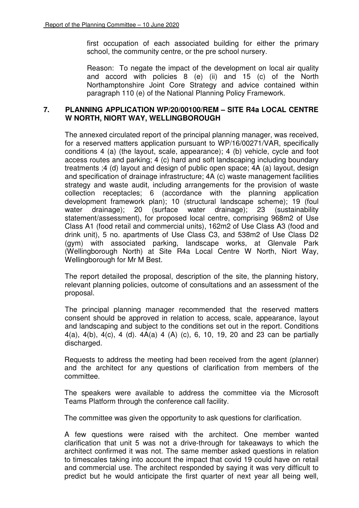first occupation of each associated building for either the primary school, the community centre, or the pre school nursery.

Reason: To negate the impact of the development on local air quality and accord with policies 8 (e) (ii) and 15 (c) of the North Northamptonshire Joint Core Strategy and advice contained within paragraph 110 (e) of the National Planning Policy Framework.

## **7. PLANNING APPLICATION WP/20/00100/REM – SITE R4a LOCAL CENTRE W NORTH, NIORT WAY, WELLINGBOROUGH**

The annexed circulated report of the principal planning manager, was received, for a reserved matters application pursuant to WP/16/00271/VAR, specifically conditions 4 (a) (the layout, scale, appearance); 4 (b) vehicle, cycle and foot access routes and parking; 4 (c) hard and soft landscaping including boundary treatments ;4 (d) layout and design of public open space; 4A (a) layout, design and specification of drainage infrastructure; 4A (c) waste management facilities strategy and waste audit, including arrangements for the provision of waste collection receptacles; 6 (accordance with the planning application development framework plan); 10 (structural landscape scheme); 19 (foul water drainage); 20 (surface water drainage); 23 (sustainability statement/assessment), for proposed local centre, comprising 968m2 of Use Class A1 (food retail and commercial units), 162m2 of Use Class A3 (food and drink unit), 5 no. apartments of Use Class C3, and 538m2 of Use Class D2 (gym) with associated parking, landscape works, at Glenvale Park (Wellingborough North) at Site R4a Local Centre W North, Niort Way, Wellingborough for Mr M Best.

The report detailed the proposal, description of the site, the planning history, relevant planning policies, outcome of consultations and an assessment of the proposal.

The principal planning manager recommended that the reserved matters consent should be approved in relation to access, scale, appearance, layout and landscaping and subject to the conditions set out in the report. Conditions 4(a), 4(b), 4(c), 4 (d). 4A(a) 4 (A) (c), 6, 10, 19, 20 and 23 can be partially discharged.

Requests to address the meeting had been received from the agent (planner) and the architect for any questions of clarification from members of the committee.

The speakers were available to address the committee via the Microsoft Teams Platform through the conference call facility.

The committee was given the opportunity to ask questions for clarification.

A few questions were raised with the architect. One member wanted clarification that unit 5 was not a drive-through for takeaways to which the architect confirmed it was not. The same member asked questions in relation to timescales taking into account the impact that covid 19 could have on retail and commercial use. The architect responded by saying it was very difficult to predict but he would anticipate the first quarter of next year all being well,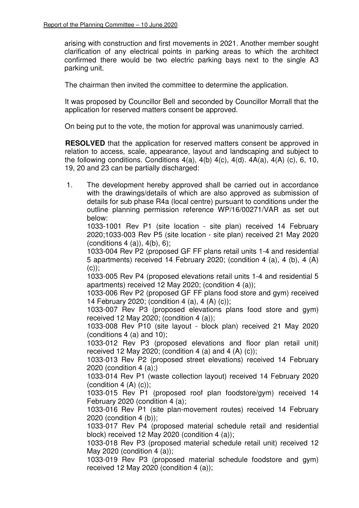arising with construction and first movements in 2021. Another member sought clarification of any electrical points in parking areas to which the architect confirmed there would be two electric parking bays next to the single A3 parking unit.

The chairman then invited the committee to determine the application.

It was proposed by Councillor Bell and seconded by Councillor Morrall that the application for reserved matters consent be approved.

On being put to the vote, the motion for approval was unanimously carried.

**RESOLVED** that the application for reserved matters consent be approved in relation to access, scale, appearance, layout and landscaping and subject to the following conditions. Conditions  $4(a)$ ,  $4(b)$   $4(c)$ ,  $4(d)$ .  $4A(a)$ ,  $4(A)$   $(c)$ , 6, 10, 19, 20 and 23 can be partially discharged:

1. The development hereby approved shall be carried out in accordance with the drawings/details of which are also approved as submission of details for sub phase R4a (local centre) pursuant to conditions under the outline planning permission reference WP/16/00271/VAR as set out below:

1033-1001 Rev P1 (site location - site plan) received 14 February 2020;1033-003 Rev P5 (site location - site plan) received 21 May 2020  $(conditions 4 (a)), 4(b), 6);$ 

1033-004 Rev P2 (proposed GF FF plans retail units 1-4 and residential 5 apartments) received 14 February 2020; (condition 4 (a), 4 (b), 4 (A)  $(c)$ :

1033-005 Rev P4 (proposed elevations retail units 1-4 and residential 5 apartments) received 12 May 2020; (condition 4 (a));

1033-006 Rev P2 (proposed GF FF plans food store and gym) received 14 February 2020; (condition 4 (a), 4 (A) (c));

1033-007 Rev P3 (proposed elevations plans food store and gym) received 12 May 2020; (condition 4 (a));

1033-008 Rev P10 (site layout - block plan) received 21 May 2020 (conditions 4 (a) and 10);

1033-012 Rev P3 (proposed elevations and floor plan retail unit) received 12 May 2020; (condition 4 (a) and 4 (A)  $(c)$ );

1033-013 Rev P2 (proposed street elevations) received 14 February 2020 (condition 4 (a);)

1033-014 Rev P1 (waste collection layout) received 14 February 2020 (condition  $4(A)$  (c));

1033-015 Rev P1 (proposed roof plan foodstore/gym) received 14 February 2020 (condition 4 (a);

1033-016 Rev P1 (site plan-movement routes) received 14 February 2020 (condition 4 (b));

1033-017 Rev P4 (proposed material schedule retail and residential block) received 12 May 2020 (condition 4 (a));

1033-018 Rev P3 (proposed material schedule retail unit) received 12 May 2020 (condition 4 (a));

1033-019 Rev P3 (proposed material schedule foodstore and gym) received 12 May 2020 (condition 4 (a));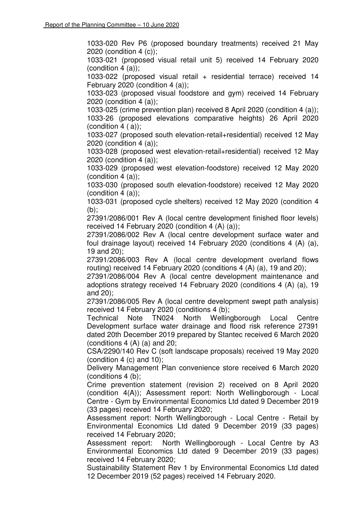1033-020 Rev P6 (proposed boundary treatments) received 21 May 2020 (condition 4 (c));

1033-021 (proposed visual retail unit 5) received 14 February 2020 (condition  $4$  (a));

1033-022 (proposed visual retail + residential terrace) received 14 February 2020 (condition 4 (a));

1033-023 (proposed visual foodstore and gym) received 14 February 2020 (condition 4 (a));

1033-025 (crime prevention plan) received 8 April 2020 (condition 4 (a)); 1033-26 (proposed elevations comparative heights) 26 April 2020 (condition  $4(a)$ );

1033-027 (proposed south elevation-retail+residential) received 12 May 2020 (condition 4 (a));

1033-028 (proposed west elevation-retail+residential) received 12 May 2020 (condition 4 (a));

1033-029 (proposed west elevation-foodstore) received 12 May 2020 (condition  $4$  (a));

1033-030 (proposed south elevation-foodstore) received 12 May 2020  $($ condition 4 $($ a $)$ ):

1033-031 (proposed cycle shelters) received 12 May 2020 (condition 4  $(b)$ :

27391/2086/001 Rev A (local centre development finished floor levels) received 14 February 2020 (condition 4 (A) (a));

27391/2086/002 Rev A (local centre development surface water and foul drainage layout) received 14 February 2020 (conditions 4 (A) (a), 19 and 20);

27391/2086/003 Rev A (local centre development overland flows routing) received 14 February 2020 (conditions 4 (A) (a), 19 and 20);

27391/2086/004 Rev A (local centre development maintenance and adoptions strategy received 14 February 2020 (conditions 4 (A) (a), 19 and 20);

27391/2086/005 Rev A (local centre development swept path analysis) received 14 February 2020 (conditions 4 (b);

Technical Note TN024 North Wellingborough Local Centre Development surface water drainage and flood risk reference 27391 dated 20th December 2019 prepared by Stantec received 6 March 2020 (conditions  $4(A)$  (a) and  $20$ ;

CSA/2290/140 Rev C (soft landscape proposals) received 19 May 2020 (condition 4 (c) and 10);

Delivery Management Plan convenience store received 6 March 2020 (conditions 4 (b);

Crime prevention statement (revision 2) received on 8 April 2020 (condition 4(A)); Assessment report: North Wellingborough - Local Centre - Gym by Environmental Economics Ltd dated 9 December 2019 (33 pages) received 14 February 2020;

Assessment report: North Wellingborough - Local Centre - Retail by Environmental Economics Ltd dated 9 December 2019 (33 pages) received 14 February 2020;

Assessment report: North Wellingborough - Local Centre by A3 Environmental Economics Ltd dated 9 December 2019 (33 pages) received 14 February 2020;

Sustainability Statement Rev 1 by Environmental Economics Ltd dated 12 December 2019 (52 pages) received 14 February 2020.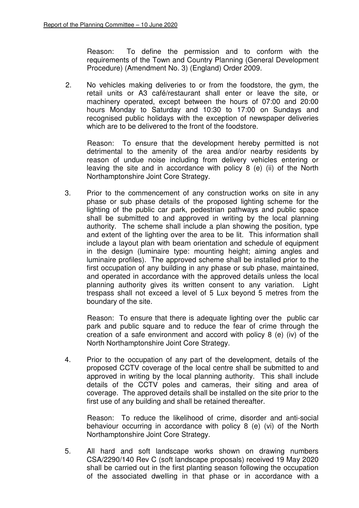Reason: To define the permission and to conform with the requirements of the Town and Country Planning (General Development Procedure) (Amendment No. 3) (England) Order 2009.

2. No vehicles making deliveries to or from the foodstore, the gym, the retail units or A3 café/restaurant shall enter or leave the site, or machinery operated, except between the hours of 07:00 and 20:00 hours Monday to Saturday and 10:30 to 17:00 on Sundays and recognised public holidays with the exception of newspaper deliveries which are to be delivered to the front of the foodstore.

Reason: To ensure that the development hereby permitted is not detrimental to the amenity of the area and/or nearby residents by reason of undue noise including from delivery vehicles entering or leaving the site and in accordance with policy 8 (e) (ii) of the North Northamptonshire Joint Core Strategy.

3. Prior to the commencement of any construction works on site in any phase or sub phase details of the proposed lighting scheme for the lighting of the public car park, pedestrian pathways and public space shall be submitted to and approved in writing by the local planning authority. The scheme shall include a plan showing the position, type and extent of the lighting over the area to be lit. This information shall include a layout plan with beam orientation and schedule of equipment in the design (luminaire type: mounting height; aiming angles and luminaire profiles). The approved scheme shall be installed prior to the first occupation of any building in any phase or sub phase, maintained, and operated in accordance with the approved details unless the local planning authority gives its written consent to any variation. Light trespass shall not exceed a level of 5 Lux beyond 5 metres from the boundary of the site.

Reason: To ensure that there is adequate lighting over the public car park and public square and to reduce the fear of crime through the creation of a safe environment and accord with policy 8 (e) (iv) of the North Northamptonshire Joint Core Strategy.

4. Prior to the occupation of any part of the development, details of the proposed CCTV coverage of the local centre shall be submitted to and approved in writing by the local planning authority. This shall include details of the CCTV poles and cameras, their siting and area of coverage. The approved details shall be installed on the site prior to the first use of any building and shall be retained thereafter.

Reason: To reduce the likelihood of crime, disorder and anti-social behaviour occurring in accordance with policy 8 (e) (vi) of the North Northamptonshire Joint Core Strategy.

5. All hard and soft landscape works shown on drawing numbers CSA/2290/140 Rev C (soft landscape proposals) received 19 May 2020 shall be carried out in the first planting season following the occupation of the associated dwelling in that phase or in accordance with a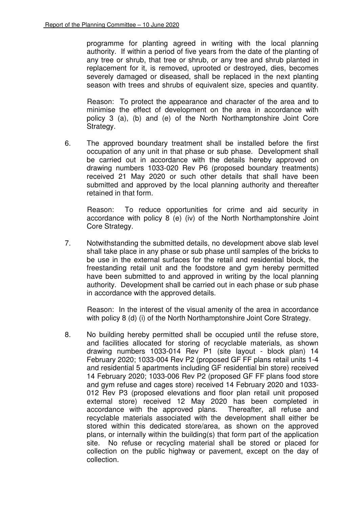programme for planting agreed in writing with the local planning authority. If within a period of five years from the date of the planting of any tree or shrub, that tree or shrub, or any tree and shrub planted in replacement for it, is removed, uprooted or destroyed, dies, becomes severely damaged or diseased, shall be replaced in the next planting season with trees and shrubs of equivalent size, species and quantity.

Reason: To protect the appearance and character of the area and to minimise the effect of development on the area in accordance with policy 3 (a), (b) and (e) of the North Northamptonshire Joint Core Strategy.

6. The approved boundary treatment shall be installed before the first occupation of any unit in that phase or sub phase. Development shall be carried out in accordance with the details hereby approved on drawing numbers 1033-020 Rev P6 (proposed boundary treatments) received 21 May 2020 or such other details that shall have been submitted and approved by the local planning authority and thereafter retained in that form.

Reason: To reduce opportunities for crime and aid security in accordance with policy 8 (e) (iv) of the North Northamptonshire Joint Core Strategy.

7. Notwithstanding the submitted details, no development above slab level shall take place in any phase or sub phase until samples of the bricks to be use in the external surfaces for the retail and residential block, the freestanding retail unit and the foodstore and gym hereby permitted have been submitted to and approved in writing by the local planning authority. Development shall be carried out in each phase or sub phase in accordance with the approved details.

Reason: In the interest of the visual amenity of the area in accordance with policy 8 (d) (i) of the North Northamptonshire Joint Core Strategy.

8. No building hereby permitted shall be occupied until the refuse store, and facilities allocated for storing of recyclable materials, as shown drawing numbers 1033-014 Rev P1 (site layout - block plan) 14 February 2020; 1033-004 Rev P2 (proposed GF FF plans retail units 1-4 and residential 5 apartments including GF residential bin store) received 14 February 2020; 1033-006 Rev P2 (proposed GF FF plans food store and gym refuse and cages store) received 14 February 2020 and 1033- 012 Rev P3 (proposed elevations and floor plan retail unit proposed external store) received 12 May 2020 has been completed in accordance with the approved plans. Thereafter, all refuse and recyclable materials associated with the development shall either be stored within this dedicated store/area, as shown on the approved plans, or internally within the building(s) that form part of the application site. No refuse or recycling material shall be stored or placed for collection on the public highway or pavement, except on the day of collection.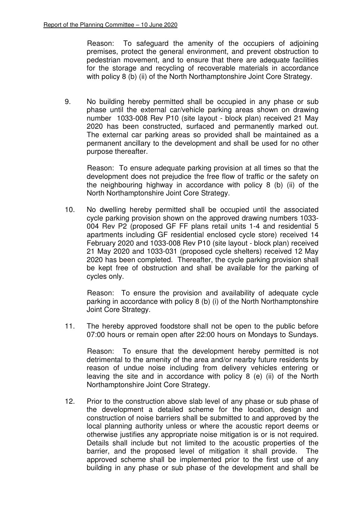Reason: To safeguard the amenity of the occupiers of adjoining premises, protect the general environment, and prevent obstruction to pedestrian movement, and to ensure that there are adequate facilities for the storage and recycling of recoverable materials in accordance with policy 8 (b) (ii) of the North Northamptonshire Joint Core Strategy.

9. No building hereby permitted shall be occupied in any phase or sub phase until the external car/vehicle parking areas shown on drawing number 1033-008 Rev P10 (site layout - block plan) received 21 May 2020 has been constructed, surfaced and permanently marked out. The external car parking areas so provided shall be maintained as a permanent ancillary to the development and shall be used for no other purpose thereafter.

Reason: To ensure adequate parking provision at all times so that the development does not prejudice the free flow of traffic or the safety on the neighbouring highway in accordance with policy 8 (b) (ii) of the North Northamptonshire Joint Core Strategy.

10. No dwelling hereby permitted shall be occupied until the associated cycle parking provision shown on the approved drawing numbers 1033- 004 Rev P2 (proposed GF FF plans retail units 1-4 and residential 5 apartments including GF residential enclosed cycle store) received 14 February 2020 and 1033-008 Rev P10 (site layout - block plan) received 21 May 2020 and 1033-031 (proposed cycle shelters) received 12 May 2020 has been completed. Thereafter, the cycle parking provision shall be kept free of obstruction and shall be available for the parking of cycles only.

Reason: To ensure the provision and availability of adequate cycle parking in accordance with policy 8 (b) (i) of the North Northamptonshire Joint Core Strategy.

11. The hereby approved foodstore shall not be open to the public before 07:00 hours or remain open after 22:00 hours on Mondays to Sundays.

Reason: To ensure that the development hereby permitted is not detrimental to the amenity of the area and/or nearby future residents by reason of undue noise including from delivery vehicles entering or leaving the site and in accordance with policy 8 (e) (ii) of the North Northamptonshire Joint Core Strategy.

12. Prior to the construction above slab level of any phase or sub phase of the development a detailed scheme for the location, design and construction of noise barriers shall be submitted to and approved by the local planning authority unless or where the acoustic report deems or otherwise justifies any appropriate noise mitigation is or is not required. Details shall include but not limited to the acoustic properties of the barrier, and the proposed level of mitigation it shall provide. The approved scheme shall be implemented prior to the first use of any building in any phase or sub phase of the development and shall be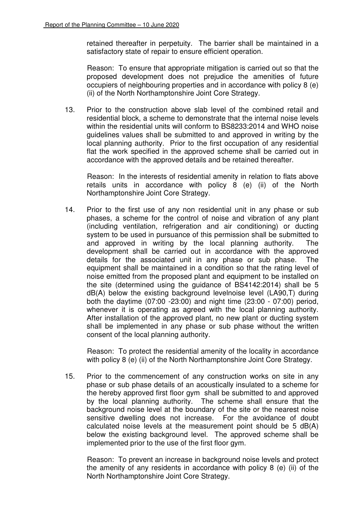retained thereafter in perpetuity. The barrier shall be maintained in a satisfactory state of repair to ensure efficient operation.

Reason: To ensure that appropriate mitigation is carried out so that the proposed development does not prejudice the amenities of future occupiers of neighbouring properties and in accordance with policy 8 (e) (ii) of the North Northamptonshire Joint Core Strategy.

13. Prior to the construction above slab level of the combined retail and residential block, a scheme to demonstrate that the internal noise levels within the residential units will conform to BS8233:2014 and WHO noise guidelines values shall be submitted to and approved in writing by the local planning authority. Prior to the first occupation of any residential flat the work specified in the approved scheme shall be carried out in accordance with the approved details and be retained thereafter.

Reason: In the interests of residential amenity in relation to flats above retails units in accordance with policy 8 (e) (ii) of the North Northamptonshire Joint Core Strategy.

14. Prior to the first use of any non residential unit in any phase or sub phases, a scheme for the control of noise and vibration of any plant (including ventilation, refrigeration and air conditioning) or ducting system to be used in pursuance of this permission shall be submitted to and approved in writing by the local planning authority. The development shall be carried out in accordance with the approved details for the associated unit in any phase or sub phase. The equipment shall be maintained in a condition so that the rating level of noise emitted from the proposed plant and equipment to be installed on the site (determined using the guidance of BS4142:2014) shall be 5 dB(A) below the existing background levelnoise level (LA90,T) during both the daytime (07:00 -23:00) and night time (23:00 - 07:00) period, whenever it is operating as agreed with the local planning authority. After installation of the approved plant, no new plant or ducting system shall be implemented in any phase or sub phase without the written consent of the local planning authority.

Reason: To protect the residential amenity of the locality in accordance with policy 8 (e) (ii) of the North Northamptonshire Joint Core Strategy.

15. Prior to the commencement of any construction works on site in any phase or sub phase details of an acoustically insulated to a scheme for the hereby approved first floor gym shall be submitted to and approved by the local planning authority. The scheme shall ensure that the background noise level at the boundary of the site or the nearest noise sensitive dwelling does not increase. For the avoidance of doubt calculated noise levels at the measurement point should be 5 dB(A) below the existing background level. The approved scheme shall be implemented prior to the use of the first floor gym.

Reason: To prevent an increase in background noise levels and protect the amenity of any residents in accordance with policy 8 (e) (ii) of the North Northamptonshire Joint Core Strategy.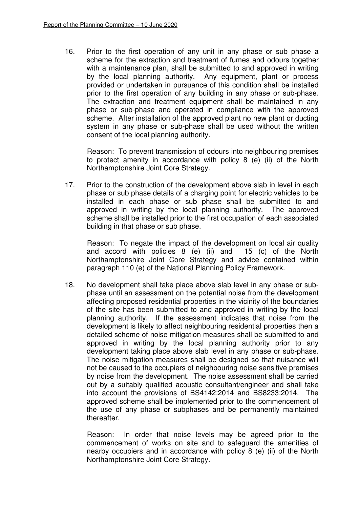16. Prior to the first operation of any unit in any phase or sub phase a scheme for the extraction and treatment of fumes and odours together with a maintenance plan, shall be submitted to and approved in writing by the local planning authority. Any equipment, plant or process provided or undertaken in pursuance of this condition shall be installed prior to the first operation of any building in any phase or sub-phase. The extraction and treatment equipment shall be maintained in any phase or sub-phase and operated in compliance with the approved scheme. After installation of the approved plant no new plant or ducting system in any phase or sub-phase shall be used without the written consent of the local planning authority.

Reason: To prevent transmission of odours into neighbouring premises to protect amenity in accordance with policy 8 (e) (ii) of the North Northamptonshire Joint Core Strategy.

17. Prior to the construction of the development above slab in level in each phase or sub phase details of a charging point for electric vehicles to be installed in each phase or sub phase shall be submitted to and approved in writing by the local planning authority. The approved scheme shall be installed prior to the first occupation of each associated building in that phase or sub phase.

Reason: To negate the impact of the development on local air quality and accord with policies 8 (e) (ii) and 15 (c) of the North Northamptonshire Joint Core Strategy and advice contained within paragraph 110 (e) of the National Planning Policy Framework.

18. No development shall take place above slab level in any phase or subphase until an assessment on the potential noise from the development affecting proposed residential properties in the vicinity of the boundaries of the site has been submitted to and approved in writing by the local planning authority. If the assessment indicates that noise from the development is likely to affect neighbouring residential properties then a detailed scheme of noise mitigation measures shall be submitted to and approved in writing by the local planning authority prior to any development taking place above slab level in any phase or sub-phase. The noise mitigation measures shall be designed so that nuisance will not be caused to the occupiers of neighbouring noise sensitive premises by noise from the development. The noise assessment shall be carried out by a suitably qualified acoustic consultant/engineer and shall take into account the provisions of BS4142:2014 and BS8233:2014. The approved scheme shall be implemented prior to the commencement of the use of any phase or subphases and be permanently maintained thereafter.

Reason: In order that noise levels may be agreed prior to the commencement of works on site and to safeguard the amenities of nearby occupiers and in accordance with policy 8 (e) (ii) of the North Northamptonshire Joint Core Strategy.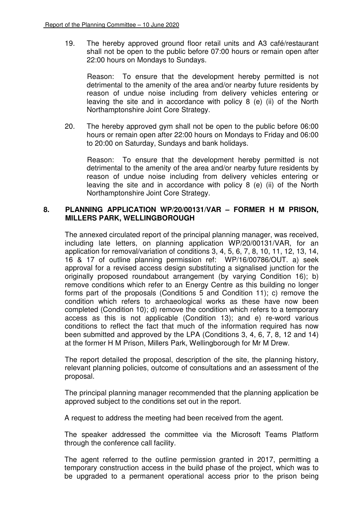19. The hereby approved ground floor retail units and A3 café/restaurant shall not be open to the public before 07:00 hours or remain open after 22:00 hours on Mondays to Sundays.

Reason: To ensure that the development hereby permitted is not detrimental to the amenity of the area and/or nearby future residents by reason of undue noise including from delivery vehicles entering or leaving the site and in accordance with policy 8 (e) (ii) of the North Northamptonshire Joint Core Strategy.

20. The hereby approved gym shall not be open to the public before 06:00 hours or remain open after 22:00 hours on Mondays to Friday and 06:00 to 20:00 on Saturday, Sundays and bank holidays.

Reason: To ensure that the development hereby permitted is not detrimental to the amenity of the area and/or nearby future residents by reason of undue noise including from delivery vehicles entering or leaving the site and in accordance with policy 8 (e) (ii) of the North Northamptonshire Joint Core Strategy.

## **8. PLANNING APPLICATION WP/20/00131/VAR – FORMER H M PRISON, MILLERS PARK, WELLINGBOROUGH**

The annexed circulated report of the principal planning manager, was received, including late letters, on planning application WP/20/00131/VAR, for an application for removal/variation of conditions 3, 4, 5, 6, 7, 8, 10, 11, 12, 13, 14, 16 & 17 of outline planning permission ref: WP/16/00786/OUT. a) seek approval for a revised access design substituting a signalised junction for the originally proposed roundabout arrangement (by varying Condition 16); b) remove conditions which refer to an Energy Centre as this building no longer forms part of the proposals (Conditions 5 and Condition 11); c) remove the condition which refers to archaeological works as these have now been completed (Condition 10); d) remove the condition which refers to a temporary access as this is not applicable (Condition 13); and e) re-word various conditions to reflect the fact that much of the information required has now been submitted and approved by the LPA (Conditions 3, 4, 6, 7, 8, 12 and 14) at the former H M Prison, Millers Park, Wellingborough for Mr M Drew.

The report detailed the proposal, description of the site, the planning history, relevant planning policies, outcome of consultations and an assessment of the proposal.

The principal planning manager recommended that the planning application be approved subject to the conditions set out in the report.

A request to address the meeting had been received from the agent.

The speaker addressed the committee via the Microsoft Teams Platform through the conference call facility.

The agent referred to the outline permission granted in 2017, permitting a temporary construction access in the build phase of the project, which was to be upgraded to a permanent operational access prior to the prison being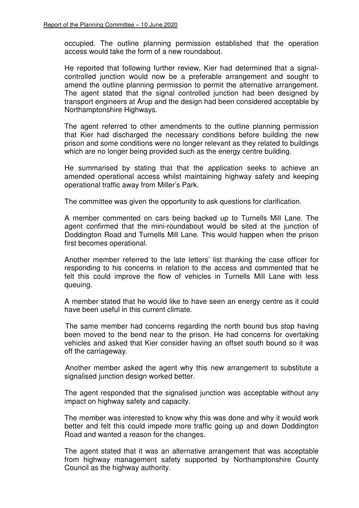occupied. The outline planning permission established that the operation access would take the form of a new roundabout.

He reported that following further review, Kier had determined that a signalcontrolled junction would now be a preferable arrangement and sought to amend the outline planning permission to permit the alternative arrangement. The agent stated that the signal controlled junction had been designed by transport engineers at Arup and the design had been considered acceptable by Northamptonshire Highways.

The agent referred to other amendments to the outline planning permission that Kier had discharged the necessary conditions before building the new prison and some conditions were no longer relevant as they related to buildings which are no longer being provided such as the energy centre building.

He summarised by stating that that the application seeks to achieve an amended operational access whilst maintaining highway safety and keeping operational traffic away from Miller's Park.

The committee was given the opportunity to ask questions for clarification.

A member commented on cars being backed up to Turnells Mill Lane. The agent confirmed that the mini-roundabout would be sited at the junction of Doddington Road and Turnells Mill Lane. This would happen when the prison first becomes operational.

Another member referred to the late letters' list thanking the case officer for responding to his concerns in relation to the access and commented that he felt this could improve the flow of vehicles in Turnells Mill Lane with less queuing.

A member stated that he would like to have seen an energy centre as it could have been useful in this current climate.

 The same member had concerns regarding the north bound bus stop having been moved to the bend near to the prison. He had concerns for overtaking vehicles and asked that Kier consider having an offset south bound so it was off the carriageway.

 Another member asked the agent why this new arrangement to substitute a signalised junction design worked better.

The agent responded that the signalised junction was acceptable without any impact on highway safety and capacity.

The member was interested to know why this was done and why it would work better and felt this could impede more traffic going up and down Doddington Road and wanted a reason for the changes.

The agent stated that it was an alternative arrangement that was acceptable from highway management safety supported by Northamptonshire County Council as the highway authority.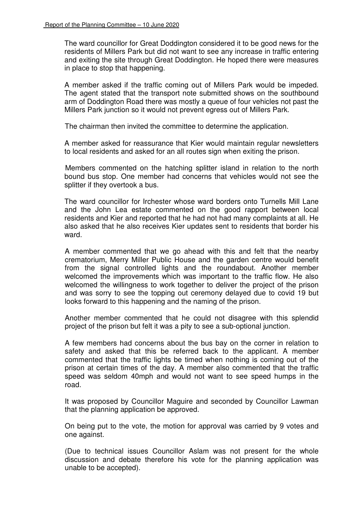The ward councillor for Great Doddington considered it to be good news for the residents of Millers Park but did not want to see any increase in traffic entering and exiting the site through Great Doddington. He hoped there were measures in place to stop that happening.

A member asked if the traffic coming out of Millers Park would be impeded. The agent stated that the transport note submitted shows on the southbound arm of Doddington Road there was mostly a queue of four vehicles not past the Millers Park junction so it would not prevent egress out of Millers Park.

The chairman then invited the committee to determine the application.

A member asked for reassurance that Kier would maintain regular newsletters to local residents and asked for an all routes sign when exiting the prison.

 Members commented on the hatching splitter island in relation to the north bound bus stop. One member had concerns that vehicles would not see the splitter if they overtook a bus.

The ward councillor for Irchester whose ward borders onto Turnells Mill Lane and the John Lea estate commented on the good rapport between local residents and Kier and reported that he had not had many complaints at all. He also asked that he also receives Kier updates sent to residents that border his ward.

A member commented that we go ahead with this and felt that the nearby crematorium, Merry Miller Public House and the garden centre would benefit from the signal controlled lights and the roundabout. Another member welcomed the improvements which was important to the traffic flow. He also welcomed the willingness to work together to deliver the project of the prison and was sorry to see the topping out ceremony delayed due to covid 19 but looks forward to this happening and the naming of the prison.

Another member commented that he could not disagree with this splendid project of the prison but felt it was a pity to see a sub-optional junction.

A few members had concerns about the bus bay on the corner in relation to safety and asked that this be referred back to the applicant. A member commented that the traffic lights be timed when nothing is coming out of the prison at certain times of the day. A member also commented that the traffic speed was seldom 40mph and would not want to see speed humps in the road.

It was proposed by Councillor Maguire and seconded by Councillor Lawman that the planning application be approved.

 On being put to the vote, the motion for approval was carried by 9 votes and one against.

 (Due to technical issues Councillor Aslam was not present for the whole discussion and debate therefore his vote for the planning application was unable to be accepted).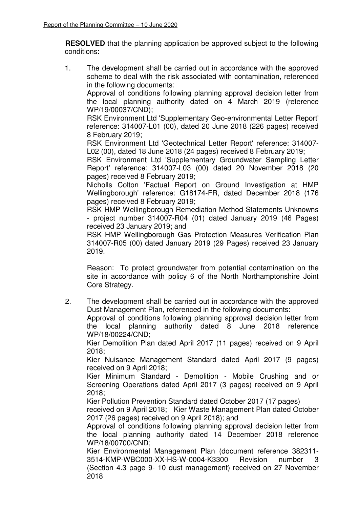**RESOLVED** that the planning application be approved subject to the following conditions:

1. The development shall be carried out in accordance with the approved scheme to deal with the risk associated with contamination, referenced in the following documents:

Approval of conditions following planning approval decision letter from the local planning authority dated on 4 March 2019 (reference WP/19/00037/CND);

RSK Environment Ltd 'Supplementary Geo-environmental Letter Report' reference: 314007-L01 (00), dated 20 June 2018 (226 pages) received 8 February 2019;

RSK Environment Ltd 'Geotechnical Letter Report' reference: 314007- L02 (00), dated 18 June 2018 (24 pages) received 8 February 2019;

RSK Environment Ltd 'Supplementary Groundwater Sampling Letter Report' reference: 314007-L03 (00) dated 20 November 2018 (20 pages) received 8 February 2019;

Nicholls Colton 'Factual Report on Ground Investigation at HMP Wellingborough' reference: G18174-FR, dated December 2018 (176 pages) received 8 February 2019;

RSK HMP Wellingborough Remediation Method Statements Unknowns - project number 314007-R04 (01) dated January 2019 (46 Pages) received 23 January 2019; and

RSK HMP Wellingborough Gas Protection Measures Verification Plan 314007-R05 (00) dated January 2019 (29 Pages) received 23 January 2019.

Reason: To protect groundwater from potential contamination on the site in accordance with policy 6 of the North Northamptonshire Joint Core Strategy.

2. The development shall be carried out in accordance with the approved Dust Management Plan, referenced in the following documents:

Approval of conditions following planning approval decision letter from the local planning authority dated 8 June 2018 reference WP/18/00224/CND;

Kier Demolition Plan dated April 2017 (11 pages) received on 9 April 2018;

Kier Nuisance Management Standard dated April 2017 (9 pages) received on 9 April 2018;

Kier Minimum Standard - Demolition - Mobile Crushing and or Screening Operations dated April 2017 (3 pages) received on 9 April 2018;

Kier Pollution Prevention Standard dated October 2017 (17 pages)

 received on 9 April 2018; Kier Waste Management Plan dated October 2017 (26 pages) received on 9 April 2018); and

Approval of conditions following planning approval decision letter from the local planning authority dated 14 December 2018 reference WP/18/00700/CND;

Kier Environmental Management Plan (document reference 382311- 3514-KMP-WBC000-XX-HS-W-0004-K3300 Revision number 3 (Section 4.3 page 9- 10 dust management) received on 27 November 2018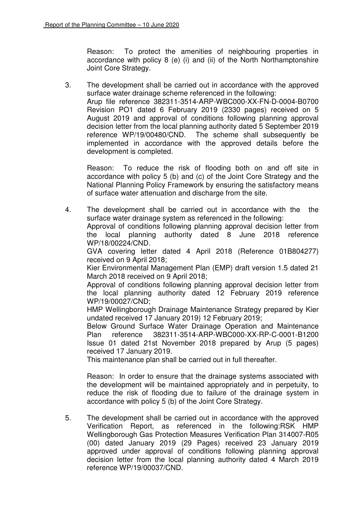Reason: To protect the amenities of neighbouring properties in accordance with policy 8 (e) (i) and (ii) of the North Northamptonshire Joint Core Strategy.

3. The development shall be carried out in accordance with the approved surface water drainage scheme referenced in the following: Arup file reference 382311-3514-ARP-WBC000-XX-FN-D-0004-B0700 Revision PO1 dated 6 February 2019 (2330 pages) received on 5 August 2019 and approval of conditions following planning approval decision letter from the local planning authority dated 5 September 2019 reference WP/19/00480/CND. The scheme shall subsequently be implemented in accordance with the approved details before the development is completed.

Reason: To reduce the risk of flooding both on and off site in accordance with policy 5 (b) and (c) of the Joint Core Strategy and the National Planning Policy Framework by ensuring the satisfactory means of surface water attenuation and discharge from the site.

4. The development shall be carried out in accordance with the the surface water drainage system as referenced in the following:

Approval of conditions following planning approval decision letter from the local planning authority dated 8 June 2018 reference WP/18/00224/CND.

GVA covering letter dated 4 April 2018 (Reference 01B804277) received on 9 April 2018;

Kier Environmental Management Plan (EMP) draft version 1.5 dated 21 March 2018 received on 9 April 2018;

Approval of conditions following planning approval decision letter from the local planning authority dated 12 February 2019 reference WP/19/00027/CND;

HMP Wellingborough Drainage Maintenance Strategy prepared by Kier undated received 17 January 2019) 12 February 2019;

Below Ground Surface Water Drainage Operation and Maintenance Plan reference 382311-3514-ARP-WBC000-XX-RP-C-0001-B1200 Issue 01 dated 21st November 2018 prepared by Arup (5 pages) received 17 January 2019.

This maintenance plan shall be carried out in full thereafter.

Reason: In order to ensure that the drainage systems associated with the development will be maintained appropriately and in perpetuity, to reduce the risk of flooding due to failure of the drainage system in accordance with policy 5 (b) of the Joint Core Strategy.

5. The development shall be carried out in accordance with the approved Verification Report, as referenced in the following:RSK HMP Wellingborough Gas Protection Measures Verification Plan 314007-R05 (00) dated January 2019 (29 Pages) received 23 January 2019 approved under approval of conditions following planning approval decision letter from the local planning authority dated 4 March 2019 reference WP/19/00037/CND.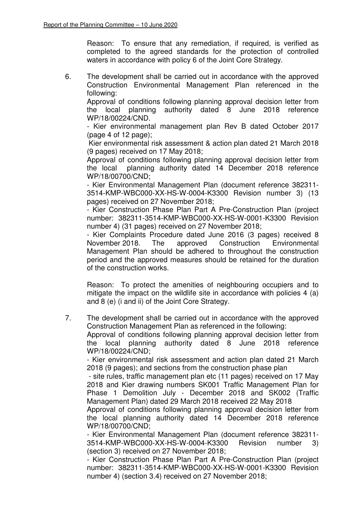Reason: To ensure that any remediation, if required, is verified as completed to the agreed standards for the protection of controlled waters in accordance with policy 6 of the Joint Core Strategy.

6. The development shall be carried out in accordance with the approved Construction Environmental Management Plan referenced in the following:

Approval of conditions following planning approval decision letter from the local planning authority dated 8 June 2018 reference WP/18/00224/CND.

- Kier environmental management plan Rev B dated October 2017 (page 4 of 12 page);

Kier environmental risk assessment & action plan dated 21 March 2018 (9 pages) received on 17 May 2018;

Approval of conditions following planning approval decision letter from the local planning authority dated 14 December 2018 reference WP/18/00700/CND;

- Kier Environmental Management Plan (document reference 382311- 3514-KMP-WBC000-XX-HS-W-0004-K3300 Revision number 3) (13 pages) received on 27 November 2018;

- Kier Construction Phase Plan Part A Pre-Construction Plan (project number: 382311-3514-KMP-WBC000-XX-HS-W-0001-K3300 Revision number 4) (31 pages) received on 27 November 2018;

- Kier Complaints Procedure dated June 2016 (3 pages) received 8<br>November 2018. The approved Construction Environmental November 2018. The approved Construction Environmental Management Plan should be adhered to throughout the construction period and the approved measures should be retained for the duration of the construction works.

Reason: To protect the amenities of neighbouring occupiers and to mitigate the impact on the wildlife site in accordance with policies 4 (a) and 8 (e) (i and ii) of the Joint Core Strategy.

7. The development shall be carried out in accordance with the approved Construction Management Plan as referenced in the following:

Approval of conditions following planning approval decision letter from the local planning authority dated 8 June 2018 reference WP/18/00224/CND;

- Kier environmental risk assessment and action plan dated 21 March 2018 (9 pages); and sections from the construction phase plan

- site rules, traffic management plan etc (11 pages) received on 17 May 2018 and Kier drawing numbers SK001 Traffic Management Plan for Phase 1 Demolition July - December 2018 and SK002 (Traffic Management Plan) dated 29 March 2018 received 22 May 2018

Approval of conditions following planning approval decision letter from the local planning authority dated 14 December 2018 reference WP/18/00700/CND;

- Kier Environmental Management Plan (document reference 382311- 3514-KMP-WBC000-XX-HS-W-0004-K3300 Revision number 3) (section 3) received on 27 November 2018;

- Kier Construction Phase Plan Part A Pre-Construction Plan (project number: 382311-3514-KMP-WBC000-XX-HS-W-0001-K3300 Revision number 4) (section 3.4) received on 27 November 2018;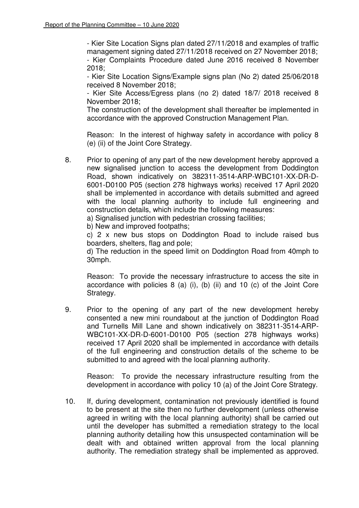- Kier Site Location Signs plan dated 27/11/2018 and examples of traffic management signing dated 27/11/2018 received on 27 November 2018; - Kier Complaints Procedure dated June 2016 received 8 November 2018;

- Kier Site Location Signs/Example signs plan (No 2) dated 25/06/2018 received 8 November 2018;

- Kier Site Access/Egress plans (no 2) dated 18/7/ 2018 received 8 November 2018;

The construction of the development shall thereafter be implemented in accordance with the approved Construction Management Plan.

Reason: In the interest of highway safety in accordance with policy 8 (e) (ii) of the Joint Core Strategy.

8. Prior to opening of any part of the new development hereby approved a new signalised junction to access the development from Doddington Road, shown indicatively on 382311-3514-ARP-WBC101-XX-DR-D-6001-D0100 P05 (section 278 highways works) received 17 April 2020 shall be implemented in accordance with details submitted and agreed with the local planning authority to include full engineering and construction details, which include the following measures:

a) Signalised junction with pedestrian crossing facilities;

b) New and improved footpaths;

 c) 2 x new bus stops on Doddington Road to include raised bus boarders, shelters, flag and pole;

d) The reduction in the speed limit on Doddington Road from 40mph to 30mph.

Reason: To provide the necessary infrastructure to access the site in accordance with policies 8 (a) (i), (b) (ii) and 10 (c) of the Joint Core Strategy.

9. Prior to the opening of any part of the new development hereby consented a new mini roundabout at the junction of Doddington Road and Turnells Mill Lane and shown indicatively on 382311-3514-ARP-WBC101-XX-DR-D-6001-D0100 P05 (section 278 highways works) received 17 April 2020 shall be implemented in accordance with details of the full engineering and construction details of the scheme to be submitted to and agreed with the local planning authority.

Reason: To provide the necessary infrastructure resulting from the development in accordance with policy 10 (a) of the Joint Core Strategy.

10. If, during development, contamination not previously identified is found to be present at the site then no further development (unless otherwise agreed in writing with the local planning authority) shall be carried out until the developer has submitted a remediation strategy to the local planning authority detailing how this unsuspected contamination will be dealt with and obtained written approval from the local planning authority. The remediation strategy shall be implemented as approved.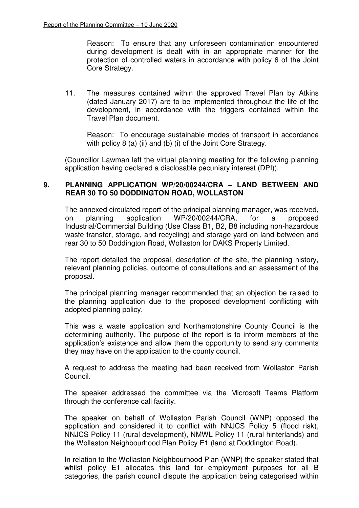Reason: To ensure that any unforeseen contamination encountered during development is dealt with in an appropriate manner for the protection of controlled waters in accordance with policy 6 of the Joint Core Strategy.

11. The measures contained within the approved Travel Plan by Atkins (dated January 2017) are to be implemented throughout the life of the development, in accordance with the triggers contained within the Travel Plan document.

Reason: To encourage sustainable modes of transport in accordance with policy 8 (a) (ii) and (b) (i) of the Joint Core Strategy.

(Councillor Lawman left the virtual planning meeting for the following planning application having declared a disclosable pecuniary interest (DPI)).

#### **9. PLANNING APPLICATION WP/20/00244/CRA – LAND BETWEEN AND REAR 30 TO 50 DODDINGTON ROAD, WOLLASTON**

The annexed circulated report of the principal planning manager, was received, on planning application WP/20/00244/CRA, for a proposed Industrial/Commercial Building (Use Class B1, B2, B8 including non-hazardous waste transfer, storage, and recycling) and storage yard on land between and rear 30 to 50 Doddington Road, Wollaston for DAKS Property Limited.

The report detailed the proposal, description of the site, the planning history, relevant planning policies, outcome of consultations and an assessment of the proposal.

The principal planning manager recommended that an objection be raised to the planning application due to the proposed development conflicting with adopted planning policy.

This was a waste application and Northamptonshire County Council is the determining authority. The purpose of the report is to inform members of the application's existence and allow them the opportunity to send any comments they may have on the application to the county council.

A request to address the meeting had been received from Wollaston Parish Council.

The speaker addressed the committee via the Microsoft Teams Platform through the conference call facility.

The speaker on behalf of Wollaston Parish Council (WNP) opposed the application and considered it to conflict with NNJCS Policy 5 (flood risk), NNJCS Policy 11 (rural development), NMWL Policy 11 (rural hinterlands) and the Wollaston Neighbourhood Plan Policy E1 (land at Doddington Road).

In relation to the Wollaston Neighbourhood Plan (WNP) the speaker stated that whilst policy E1 allocates this land for employment purposes for all B categories, the parish council dispute the application being categorised within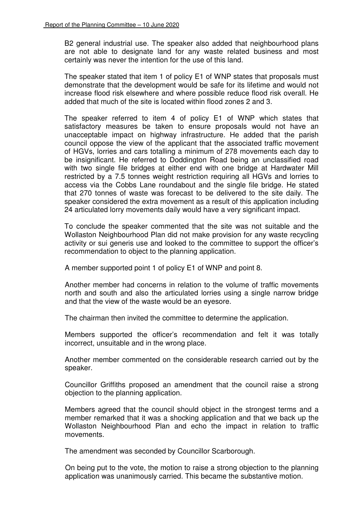B2 general industrial use. The speaker also added that neighbourhood plans are not able to designate land for any waste related business and most certainly was never the intention for the use of this land.

The speaker stated that item 1 of policy E1 of WNP states that proposals must demonstrate that the development would be safe for its lifetime and would not increase flood risk elsewhere and where possible reduce flood risk overall. He added that much of the site is located within flood zones 2 and 3.

The speaker referred to item 4 of policy E1 of WNP which states that satisfactory measures be taken to ensure proposals would not have an unacceptable impact on highway infrastructure. He added that the parish council oppose the view of the applicant that the associated traffic movement of HGVs, lorries and cars totalling a minimum of 278 movements each day to be insignificant. He referred to Doddington Road being an unclassified road with two single file bridges at either end with one bridge at Hardwater Mill restricted by a 7.5 tonnes weight restriction requiring all HGVs and lorries to access via the Cobbs Lane roundabout and the single file bridge. He stated that 270 tonnes of waste was forecast to be delivered to the site daily. The speaker considered the extra movement as a result of this application including 24 articulated lorry movements daily would have a very significant impact.

To conclude the speaker commented that the site was not suitable and the Wollaston Neighbourhood Plan did not make provision for any waste recycling activity or sui generis use and looked to the committee to support the officer's recommendation to object to the planning application.

A member supported point 1 of policy E1 of WNP and point 8.

Another member had concerns in relation to the volume of traffic movements north and south and also the articulated lorries using a single narrow bridge and that the view of the waste would be an eyesore.

The chairman then invited the committee to determine the application.

Members supported the officer's recommendation and felt it was totally incorrect, unsuitable and in the wrong place.

Another member commented on the considerable research carried out by the speaker.

Councillor Griffiths proposed an amendment that the council raise a strong objection to the planning application.

Members agreed that the council should object in the strongest terms and a member remarked that it was a shocking application and that we back up the Wollaston Neighbourhood Plan and echo the impact in relation to traffic movements.

The amendment was seconded by Councillor Scarborough.

 On being put to the vote, the motion to raise a strong objection to the planning application was unanimously carried. This became the substantive motion.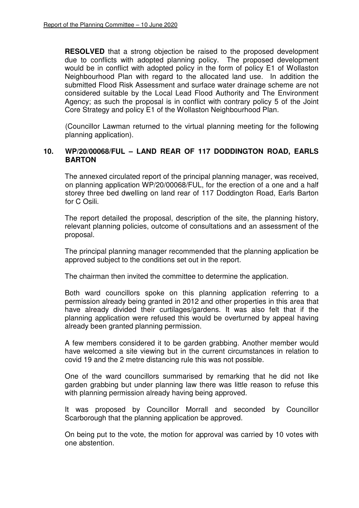**RESOLVED** that a strong objection be raised to the proposed development due to conflicts with adopted planning policy. The proposed development would be in conflict with adopted policy in the form of policy E1 of Wollaston Neighbourhood Plan with regard to the allocated land use. In addition the submitted Flood Risk Assessment and surface water drainage scheme are not considered suitable by the Local Lead Flood Authority and The Environment Agency; as such the proposal is in conflict with contrary policy 5 of the Joint Core Strategy and policy E1 of the Wollaston Neighbourhood Plan.

(Councillor Lawman returned to the virtual planning meeting for the following planning application).

## **10. WP/20/00068/FUL – LAND REAR OF 117 DODDINGTON ROAD, EARLS BARTON**

The annexed circulated report of the principal planning manager, was received, on planning application WP/20/00068/FUL, for the erection of a one and a half storey three bed dwelling on land rear of 117 Doddington Road, Earls Barton for C Osili.

The report detailed the proposal, description of the site, the planning history, relevant planning policies, outcome of consultations and an assessment of the proposal.

The principal planning manager recommended that the planning application be approved subject to the conditions set out in the report.

The chairman then invited the committee to determine the application.

Both ward councillors spoke on this planning application referring to a permission already being granted in 2012 and other properties in this area that have already divided their curtilages/gardens. It was also felt that if the planning application were refused this would be overturned by appeal having already been granted planning permission.

A few members considered it to be garden grabbing. Another member would have welcomed a site viewing but in the current circumstances in relation to covid 19 and the 2 metre distancing rule this was not possible.

One of the ward councillors summarised by remarking that he did not like garden grabbing but under planning law there was little reason to refuse this with planning permission already having being approved.

It was proposed by Councillor Morrall and seconded by Councillor Scarborough that the planning application be approved.

 On being put to the vote, the motion for approval was carried by 10 votes with one abstention.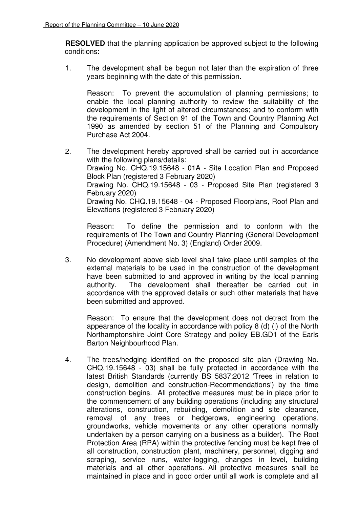**RESOLVED** that the planning application be approved subject to the following conditions:

1. The development shall be begun not later than the expiration of three years beginning with the date of this permission.

Reason: To prevent the accumulation of planning permissions; to enable the local planning authority to review the suitability of the development in the light of altered circumstances; and to conform with the requirements of Section 91 of the Town and Country Planning Act 1990 as amended by section 51 of the Planning and Compulsory Purchase Act 2004.

2. The development hereby approved shall be carried out in accordance with the following plans/details: Drawing No. CHQ.19.15648 - 01A - Site Location Plan and Proposed Block Plan (registered 3 February 2020) Drawing No. CHQ.19.15648 - 03 - Proposed Site Plan (registered 3 February 2020) Drawing No. CHQ.19.15648 - 04 - Proposed Floorplans, Roof Plan and Elevations (registered 3 February 2020)

Reason: To define the permission and to conform with the requirements of The Town and Country Planning (General Development Procedure) (Amendment No. 3) (England) Order 2009.

3. No development above slab level shall take place until samples of the external materials to be used in the construction of the development have been submitted to and approved in writing by the local planning authority. The development shall thereafter be carried out in accordance with the approved details or such other materials that have been submitted and approved.

Reason: To ensure that the development does not detract from the appearance of the locality in accordance with policy 8 (d) (i) of the North Northamptonshire Joint Core Strategy and policy EB.GD1 of the Earls Barton Neighbourhood Plan.

4. The trees/hedging identified on the proposed site plan (Drawing No. CHQ.19.15648 - 03) shall be fully protected in accordance with the latest British Standards (currently BS 5837:2012 'Trees in relation to design, demolition and construction-Recommendations') by the time construction begins. All protective measures must be in place prior to the commencement of any building operations (including any structural alterations, construction, rebuilding, demolition and site clearance, removal of any trees or hedgerows, engineering operations, groundworks, vehicle movements or any other operations normally undertaken by a person carrying on a business as a builder). The Root Protection Area (RPA) within the protective fencing must be kept free of all construction, construction plant, machinery, personnel, digging and scraping, service runs, water-logging, changes in level, building materials and all other operations. All protective measures shall be maintained in place and in good order until all work is complete and all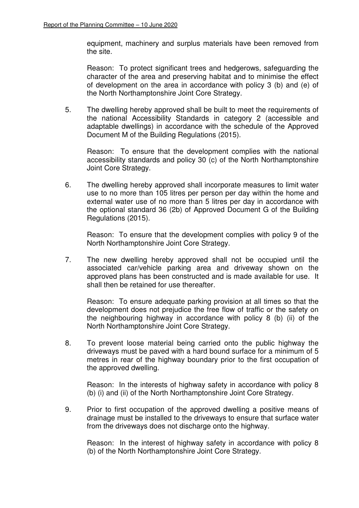equipment, machinery and surplus materials have been removed from the site.

Reason: To protect significant trees and hedgerows, safeguarding the character of the area and preserving habitat and to minimise the effect of development on the area in accordance with policy 3 (b) and (e) of the North Northamptonshire Joint Core Strategy.

5. The dwelling hereby approved shall be built to meet the requirements of the national Accessibility Standards in category 2 (accessible and adaptable dwellings) in accordance with the schedule of the Approved Document M of the Building Regulations (2015).

Reason: To ensure that the development complies with the national accessibility standards and policy 30 (c) of the North Northamptonshire Joint Core Strategy.

6. The dwelling hereby approved shall incorporate measures to limit water use to no more than 105 litres per person per day within the home and external water use of no more than 5 litres per day in accordance with the optional standard 36 (2b) of Approved Document G of the Building Regulations (2015).

Reason: To ensure that the development complies with policy 9 of the North Northamptonshire Joint Core Strategy.

7. The new dwelling hereby approved shall not be occupied until the associated car/vehicle parking area and driveway shown on the approved plans has been constructed and is made available for use. It shall then be retained for use thereafter.

Reason: To ensure adequate parking provision at all times so that the development does not prejudice the free flow of traffic or the safety on the neighbouring highway in accordance with policy 8 (b) (ii) of the North Northamptonshire Joint Core Strategy.

8. To prevent loose material being carried onto the public highway the driveways must be paved with a hard bound surface for a minimum of 5 metres in rear of the highway boundary prior to the first occupation of the approved dwelling.

Reason: In the interests of highway safety in accordance with policy 8 (b) (i) and (ii) of the North Northamptonshire Joint Core Strategy.

9. Prior to first occupation of the approved dwelling a positive means of drainage must be installed to the driveways to ensure that surface water from the driveways does not discharge onto the highway.

Reason: In the interest of highway safety in accordance with policy 8 (b) of the North Northamptonshire Joint Core Strategy.